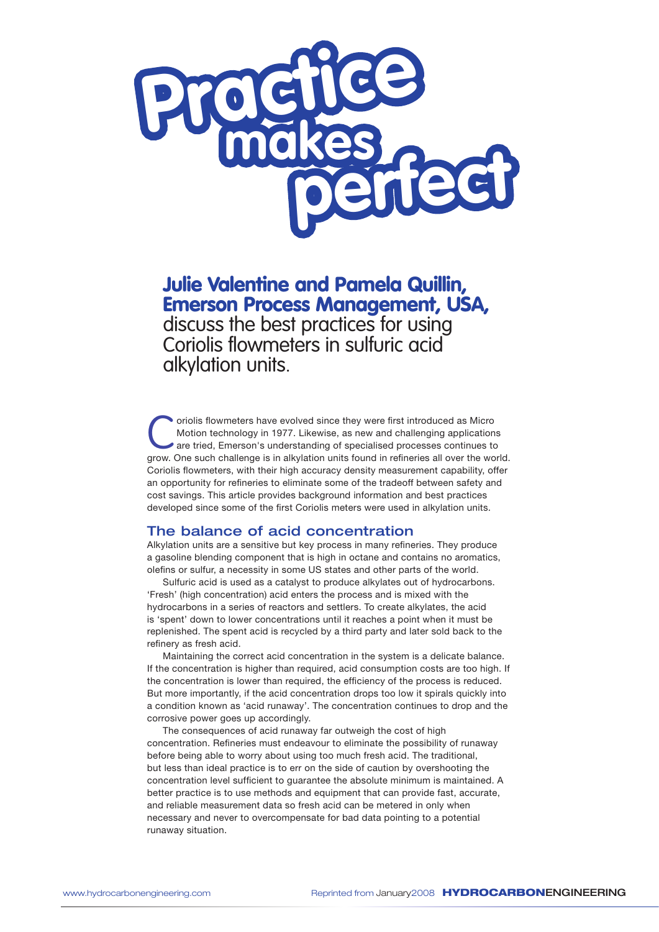

Julie Valentine and Pamela Quillin, Emerson Process Management, USA, discuss the best practices for using Coriolis flowmeters in sulfuric acid alkylation units.

Coriolis flowmeters have evolved since they were first introduced as Micro<br>Motion technology in 1977. Likewise, as new and challenging application<br>are tried, Emerson's understanding of specialised processes continues to<br> $\$ Motion technology in 1977. Likewise, as new and challenging applications are tried, Emerson's understanding of specialised processes continues to grow. One such challenge is in alkylation units found in refineries all over the world. Coriolis flowmeters, with their high accuracy density measurement capability, offer an opportunity for refineries to eliminate some of the tradeoff between safety and cost savings. This article provides background information and best practices developed since some of the first Coriolis meters were used in alkylation units.

# The balance of acid concentration

Alkylation units are a sensitive but key process in many refineries. They produce a gasoline blending component that is high in octane and contains no aromatics, olefins or sulfur, a necessity in some US states and other parts of the world.

Sulfuric acid is used as a catalyst to produce alkylates out of hydrocarbons. 'Fresh' (high concentration) acid enters the process and is mixed with the hydrocarbons in a series of reactors and settlers. To create alkylates, the acid is 'spent' down to lower concentrations until it reaches a point when it must be replenished. The spent acid is recycled by a third party and later sold back to the refinery as fresh acid.

Maintaining the correct acid concentration in the system is a delicate balance. If the concentration is higher than required, acid consumption costs are too high. If the concentration is lower than required, the efficiency of the process is reduced. But more importantly, if the acid concentration drops too low it spirals quickly into a condition known as 'acid runaway'. The concentration continues to drop and the corrosive power goes up accordingly.

The consequences of acid runaway far outweigh the cost of high concentration. Refineries must endeavour to eliminate the possibility of runaway before being able to worry about using too much fresh acid. The traditional, but less than ideal practice is to err on the side of caution by overshooting the concentration level sufficient to guarantee the absolute minimum is maintained. A better practice is to use methods and equipment that can provide fast, accurate, and reliable measurement data so fresh acid can be metered in only when necessary and never to overcompensate for bad data pointing to a potential runaway situation.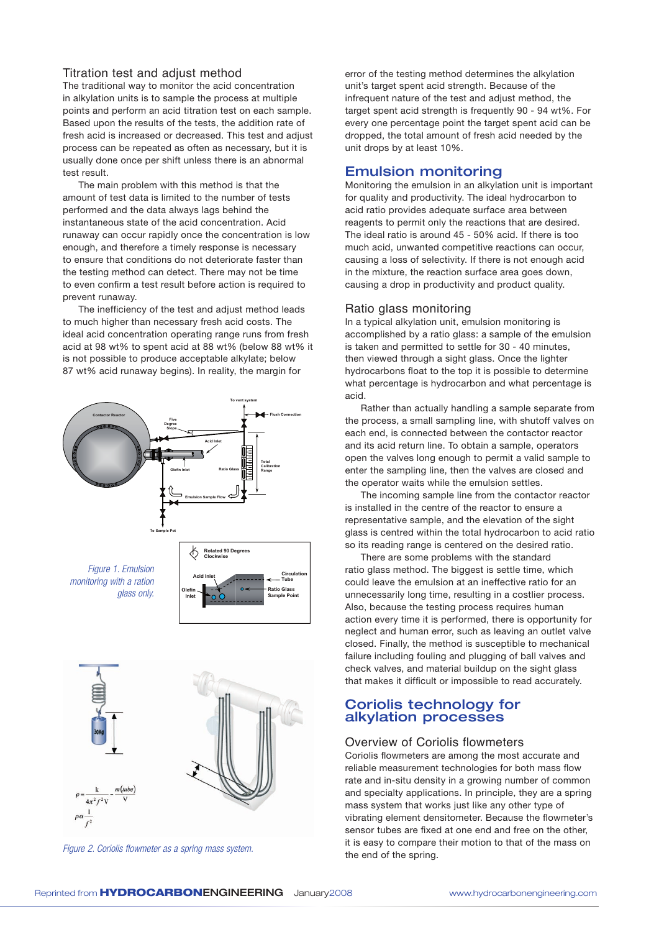## Titration test and adjust method

The traditional way to monitor the acid concentration in alkylation units is to sample the process at multiple points and perform an acid titration test on each sample. Based upon the results of the tests, the addition rate of fresh acid is increased or decreased. This test and adjust process can be repeated as often as necessary, but it is usually done once per shift unless there is an abnormal test result.

The main problem with this method is that the amount of test data is limited to the number of tests performed and the data always lags behind the instantaneous state of the acid concentration. Acid runaway can occur rapidly once the concentration is low enough, and therefore a timely response is necessary to ensure that conditions do not deteriorate faster than the testing method can detect. There may not be time to even confirm a test result before action is required to prevent runaway.

The inefficiency of the test and adjust method leads to much higher than necessary fresh acid costs. The ideal acid concentration operating range runs from fresh acid at 98 wt% to spent acid at 88 wt% (below 88 wt% it is not possible to produce acceptable alkylate; below 87 wt% acid runaway begins). In reality, the margin for



Figure 2. Coriolis flowmeter as a spring mass system.<br>**the end of the spring.** 

error of the testing method determines the alkylation unit's target spent acid strength. Because of the infrequent nature of the test and adjust method, the target spent acid strength is frequently 90 - 94 wt%. For every one percentage point the target spent acid can be dropped, the total amount of fresh acid needed by the unit drops by at least 10%.

## Emulsion monitoring

Monitoring the emulsion in an alkylation unit is important for quality and productivity. The ideal hydrocarbon to acid ratio provides adequate surface area between reagents to permit only the reactions that are desired. The ideal ratio is around 45 - 50% acid. If there is too much acid, unwanted competitive reactions can occur, causing a loss of selectivity. If there is not enough acid in the mixture, the reaction surface area goes down, causing a drop in productivity and product quality.

#### Ratio glass monitoring

In a typical alkylation unit, emulsion monitoring is accomplished by a ratio glass: a sample of the emulsion is taken and permitted to settle for 30 - 40 minutes, then viewed through a sight glass. Once the lighter hydrocarbons float to the top it is possible to determine what percentage is hydrocarbon and what percentage is acid.

Rather than actually handling a sample separate from the process, a small sampling line, with shutoff valves on each end, is connected between the contactor reactor and its acid return line. To obtain a sample, operators open the valves long enough to permit a valid sample to enter the sampling line, then the valves are closed and the operator waits while the emulsion settles.

The incoming sample line from the contactor reactor is installed in the centre of the reactor to ensure a representative sample, and the elevation of the sight glass is centred within the total hydrocarbon to acid ratio so its reading range is centered on the desired ratio.

There are some problems with the standard ratio glass method. The biggest is settle time, which could leave the emulsion at an ineffective ratio for an unnecessarily long time, resulting in a costlier process. Also, because the testing process requires human action every time it is performed, there is opportunity for neglect and human error, such as leaving an outlet valve closed. Finally, the method is susceptible to mechanical failure including fouling and plugging of ball valves and check valves, and material buildup on the sight glass that makes it difficult or impossible to read accurately.

# Coriolis technology for alkylation processes

#### Overview of Coriolis flowmeters

Coriolis flowmeters are among the most accurate and reliable measurement technologies for both mass flow rate and in-situ density in a growing number of common and specialty applications. In principle, they are a spring mass system that works just like any other type of vibrating element densitometer. Because the flowmeter's sensor tubes are fixed at one end and free on the other, it is easy to compare their motion to that of the mass on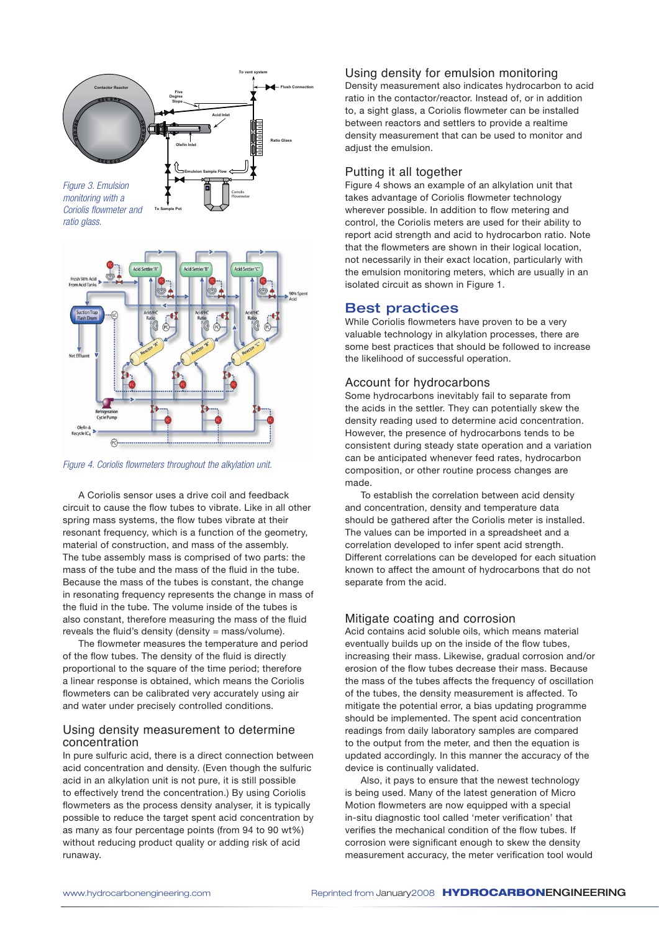

*Coriolis flowmeter and ratio glass.*



*Figure 4. Coriolis flowmeters throughout the alkylation unit.*

A Coriolis sensor uses a drive coil and feedback circuit to cause the flow tubes to vibrate. Like in all other spring mass systems, the flow tubes vibrate at their resonant frequency, which is a function of the geometry, material of construction, and mass of the assembly. The tube assembly mass is comprised of two parts: the mass of the tube and the mass of the fluid in the tube. Because the mass of the tubes is constant, the change in resonating frequency represents the change in mass of the fluid in the tube. The volume inside of the tubes is also constant, therefore measuring the mass of the fluid reveals the fluid's density (density =  $mass/volume$ ).

The flowmeter measures the temperature and period of the flow tubes. The density of the fluid is directly proportional to the square of the time period; therefore a linear response is obtained, which means the Coriolis flowmeters can be calibrated very accurately using air and water under precisely controlled conditions.

## Using density measurement to determine concentration

In pure sulfuric acid, there is a direct connection between acid concentration and density. (Even though the sulfuric acid in an alkylation unit is not pure, it is still possible to effectively trend the concentration.) By using Coriolis flowmeters as the process density analyser, it is typically possible to reduce the target spent acid concentration by as many as four percentage points (from 94 to 90 wt%) without reducing product quality or adding risk of acid runaway.

## Using density for emulsion monitoring

Density measurement also indicates hydrocarbon to acid ratio in the contactor/reactor. Instead of, or in addition to, a sight glass, a Coriolis flowmeter can be installed between reactors and settlers to provide a realtime density measurement that can be used to monitor and adjust the emulsion.

## Putting it all together

Figure 4 shows an example of an alkylation unit that takes advantage of Coriolis flowmeter technology wherever possible. In addition to flow metering and control, the Coriolis meters are used for their ability to report acid strength and acid to hydrocarbon ratio. Note that the flowmeters are shown in their logical location, not necessarily in their exact location, particularly with the emulsion monitoring meters, which are usually in an isolated circuit as shown in Figure 1.

# Best practices

While Coriolis flowmeters have proven to be a very valuable technology in alkylation processes, there are some best practices that should be followed to increase the likelihood of successful operation.

## Account for hydrocarbons

Some hydrocarbons inevitably fail to separate from the acids in the settler. They can potentially skew the density reading used to determine acid concentration. However, the presence of hydrocarbons tends to be consistent during steady state operation and a variation can be anticipated whenever feed rates, hydrocarbon composition, or other routine process changes are made.

To establish the correlation between acid density and concentration, density and temperature data should be gathered after the Coriolis meter is installed. The values can be imported in a spreadsheet and a correlation developed to infer spent acid strength. Different correlations can be developed for each situation known to affect the amount of hydrocarbons that do not separate from the acid.

## Mitigate coating and corrosion

Acid contains acid soluble oils, which means material eventually builds up on the inside of the flow tubes, increasing their mass. Likewise, gradual corrosion and/or erosion of the flow tubes decrease their mass. Because the mass of the tubes affects the frequency of oscillation of the tubes, the density measurement is affected. To mitigate the potential error, a bias updating programme should be implemented. The spent acid concentration readings from daily laboratory samples are compared to the output from the meter, and then the equation is updated accordingly. In this manner the accuracy of the device is continually validated.

Also, it pays to ensure that the newest technology is being used. Many of the latest generation of Micro Motion flowmeters are now equipped with a special in-situ diagnostic tool called 'meter verification' that verifies the mechanical condition of the flow tubes. If corrosion were significant enough to skew the density measurement accuracy, the meter verification tool would